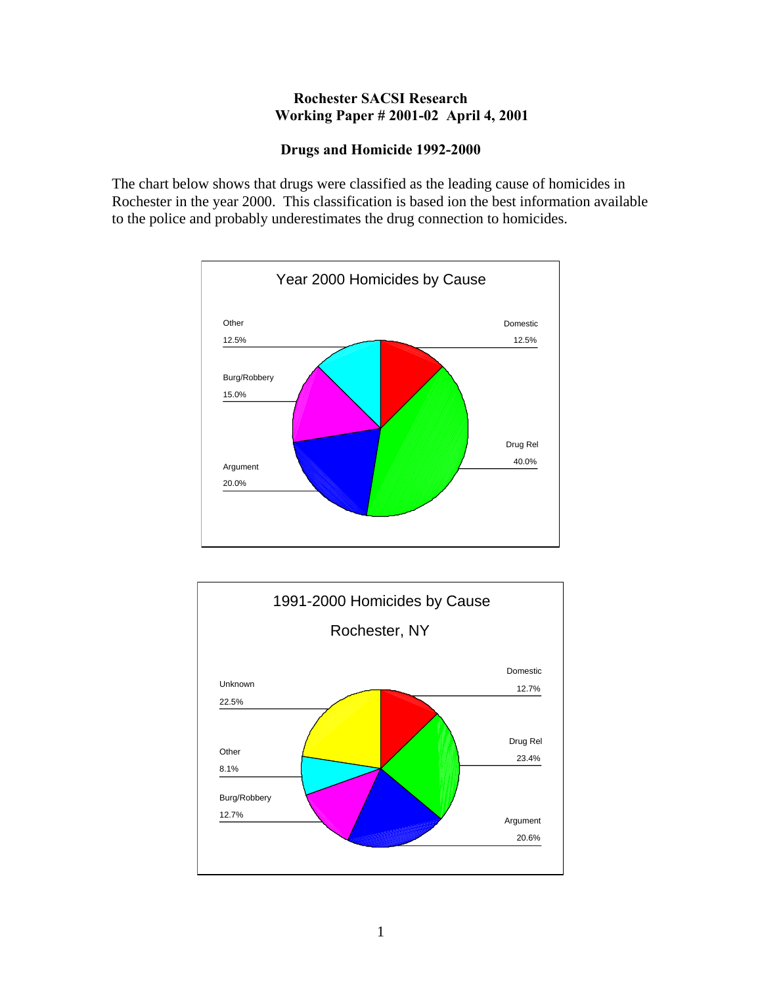## **Rochester SACSI Research Working Paper # 2001-02 April 4, 2001**

## **Drugs and Homicide 1992-2000**

The chart below shows that drugs were classified as the leading cause of homicides in Rochester in the year 2000. This classification is based ion the best information available to the police and probably underestimates the drug connection to homicides.